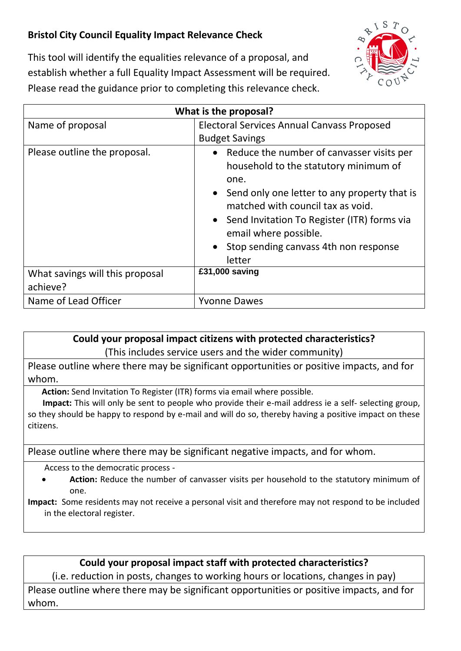## **Bristol City Council Equality Impact Relevance Check**



This tool will identify the equalities relevance of a proposal, and establish whether a full Equality Impact Assessment will be required. Please read the guidance prior to completing this relevance check.

| What is the proposal?                       |                                                                                                                                                                                                                                                                                                                                           |
|---------------------------------------------|-------------------------------------------------------------------------------------------------------------------------------------------------------------------------------------------------------------------------------------------------------------------------------------------------------------------------------------------|
| Name of proposal                            | <b>Electoral Services Annual Canvass Proposed</b>                                                                                                                                                                                                                                                                                         |
| Please outline the proposal.                | <b>Budget Savings</b><br>• Reduce the number of canvasser visits per<br>household to the statutory minimum of<br>one.<br>• Send only one letter to any property that is<br>matched with council tax as void.<br>• Send Invitation To Register (ITR) forms via<br>email where possible.<br>Stop sending canvass 4th non response<br>letter |
| What savings will this proposal<br>achieve? | £31,000 saving                                                                                                                                                                                                                                                                                                                            |
| Name of Lead Officer                        | <b>Yvonne Dawes</b>                                                                                                                                                                                                                                                                                                                       |

**Could your proposal impact citizens with protected characteristics?**

(This includes service users and the wider community)

Please outline where there may be significant opportunities or positive impacts, and for whom.

**Action:** Send Invitation To Register (ITR) forms via email where possible.

 **Impact:** This will only be sent to people who provide their e-mail address ie a self- selecting group, so they should be happy to respond by e-mail and will do so, thereby having a positive impact on these citizens.

Please outline where there may be significant negative impacts, and for whom.

Access to the democratic process -

 **Action:** Reduce the number of canvasser visits per household to the statutory minimum of one.

**Impact:** Some residents may not receive a personal visit and therefore may not respond to be included in the electoral register.

## **Could your proposal impact staff with protected characteristics?**

(i.e. reduction in posts, changes to working hours or locations, changes in pay) Please outline where there may be significant opportunities or positive impacts, and for whom.